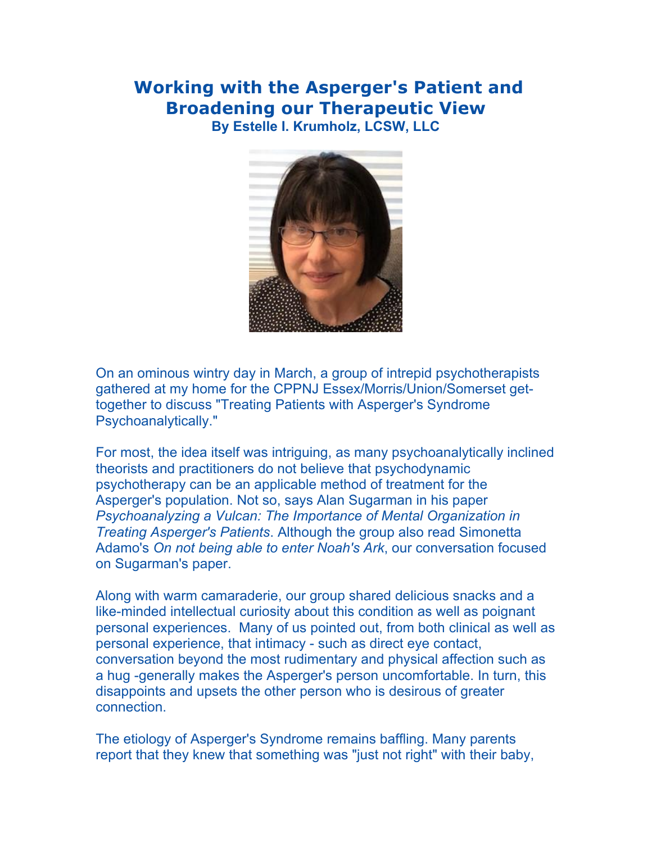## **Working with the Asperger's Patient and Broadening our Therapeutic View By Estelle I. Krumholz, LCSW, LLC**



On an ominous wintry day in March, a group of intrepid psychotherapists gathered at my home for the CPPNJ Essex/Morris/Union/Somerset gettogether to discuss "Treating Patients with Asperger's Syndrome Psychoanalytically."

For most, the idea itself was intriguing, as many psychoanalytically inclined theorists and practitioners do not believe that psychodynamic psychotherapy can be an applicable method of treatment for the Asperger's population. Not so, says Alan Sugarman in his paper *Psychoanalyzing a Vulcan: The Importance of Mental Organization in Treating Asperger's Patients*. Although the group also read Simonetta Adamo's *On not being able to enter Noah's Ark*, our conversation focused on Sugarman's paper.

Along with warm camaraderie, our group shared delicious snacks and a like-minded intellectual curiosity about this condition as well as poignant personal experiences. Many of us pointed out, from both clinical as well as personal experience, that intimacy - such as direct eye contact, conversation beyond the most rudimentary and physical affection such as a hug -generally makes the Asperger's person uncomfortable. In turn, this disappoints and upsets the other person who is desirous of greater connection.

The etiology of Asperger's Syndrome remains baffling. Many parents report that they knew that something was "just not right" with their baby,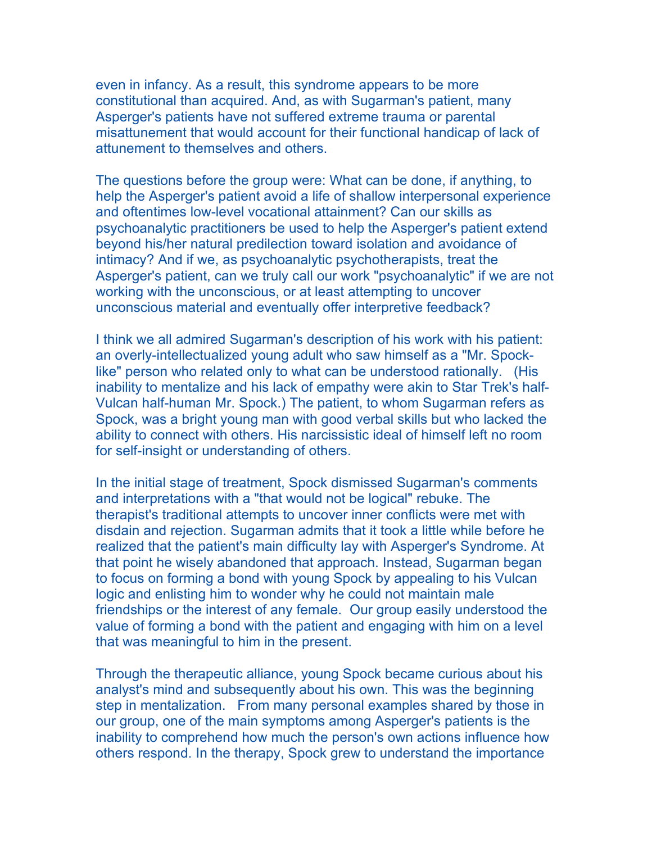even in infancy. As a result, this syndrome appears to be more constitutional than acquired. And, as with Sugarman's patient, many Asperger's patients have not suffered extreme trauma or parental misattunement that would account for their functional handicap of lack of attunement to themselves and others.

The questions before the group were: What can be done, if anything, to help the Asperger's patient avoid a life of shallow interpersonal experience and oftentimes low-level vocational attainment? Can our skills as psychoanalytic practitioners be used to help the Asperger's patient extend beyond his/her natural predilection toward isolation and avoidance of intimacy? And if we, as psychoanalytic psychotherapists, treat the Asperger's patient, can we truly call our work "psychoanalytic" if we are not working with the unconscious, or at least attempting to uncover unconscious material and eventually offer interpretive feedback?

I think we all admired Sugarman's description of his work with his patient: an overly-intellectualized young adult who saw himself as a "Mr. Spocklike" person who related only to what can be understood rationally. (His inability to mentalize and his lack of empathy were akin to Star Trek's half-Vulcan half-human Mr. Spock.) The patient, to whom Sugarman refers as Spock, was a bright young man with good verbal skills but who lacked the ability to connect with others. His narcissistic ideal of himself left no room for self-insight or understanding of others.

In the initial stage of treatment, Spock dismissed Sugarman's comments and interpretations with a "that would not be logical" rebuke. The therapist's traditional attempts to uncover inner conflicts were met with disdain and rejection. Sugarman admits that it took a little while before he realized that the patient's main difficulty lay with Asperger's Syndrome. At that point he wisely abandoned that approach. Instead, Sugarman began to focus on forming a bond with young Spock by appealing to his Vulcan logic and enlisting him to wonder why he could not maintain male friendships or the interest of any female. Our group easily understood the value of forming a bond with the patient and engaging with him on a level that was meaningful to him in the present.

Through the therapeutic alliance, young Spock became curious about his analyst's mind and subsequently about his own. This was the beginning step in mentalization. From many personal examples shared by those in our group, one of the main symptoms among Asperger's patients is the inability to comprehend how much the person's own actions influence how others respond. In the therapy, Spock grew to understand the importance